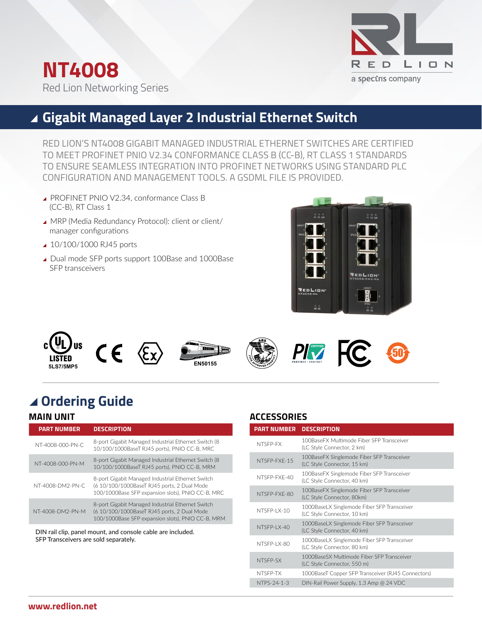



# **Gigabit Managed Layer 2 Industrial Ethernet Switch**

RED LION'S NT4008 GIGABIT MANAGED INDUSTRIAL ETHERNET SWITCHES ARE CERTIFIED TO MEET PROFINET PNIO V2.34 CONFORMANCE CLASS B (CC-B), RT CLASS 1 STANDARDS TO ENSURE SEAMLESS INTEGRATION INTO PROFINET NETWORKS USING STANDARD PLC CONFIGURATION AND MANAGEMENT TOOLS. A GSDML FILE IS PROVIDED.

- ▲ PROFINET PNIO V2.34, conformance Class B (CC-B), RT Class 1
- ▲ MRP (Media Redundancy Protocol): client or client/ manager configurations
- ▲ 10/100/1000 RJ45 ports
- ▲ Dual mode SFP ports support 100Base and 1000Base SFP transceivers













# \ **Ordering Guide**

## **MAIN UNIT**

| <b>PART NUMBER</b> | <b>DESCRIPTION</b>                                                                                                                                    |
|--------------------|-------------------------------------------------------------------------------------------------------------------------------------------------------|
| NT-4008-000-PN-C   | 8-port Gigabit Managed Industrial Ethernet Switch (8)<br>10/100/1000BaseT RJ45 ports). PNIO CC-B. MRC                                                 |
| NT-4008-000-PN-M   | 8-port Gigabit Managed Industrial Ethernet Switch (8)<br>10/100/1000BaseT RJ45 ports), PNIO CC-B, MRM                                                 |
| NT-4008-DM2-PN-C   | 8-port Gigabit Managed Industrial Ethernet Switch<br>(6 10/100/1000BaseT RJ45 ports, 2 Dual Mode<br>100/1000Base SFP expansion slots), PNIO CC-B, MRC |
| NT-4008-DM2-PN-M   | 8-port Gigabit Managed Industrial Ethernet Switch<br>(6 10/100/1000BaseT RJ45 ports, 2 Dual Mode<br>100/1000Base SFP expansion slots), PNIO CC-B, MRM |

DIN rail clip, panel mount, and console cable are included. SFP Transceivers are sold separately.

## **ACCESSORIES**

| <b>PART NUMBER</b> | <b>DESCRIPTION</b>                                                         |
|--------------------|----------------------------------------------------------------------------|
| NTSFP-FX           | 100BaseEX Multimode Fiber SEP Transceiver<br>(LC Style Connector, 2 km)    |
| NTSFP-FXF-15       | 100BaseFX Singlemode Fiber SFP Transceiver<br>(LC Style Connector, 15 km)  |
| NTSFP-FXF-40       | 100BaseFX Singlemode Fiber SFP Transceiver<br>(LC Style Connector, 40 km)  |
| NTSFP-FXF-80       | 100BaseFX Singlemode Fiber SFP Transceiver<br>(LC Style Connector, 80km)   |
| NTSFP-IX-10        | 1000BaseLX Singlemode Fiber SFP Transceiver<br>(LC Style Connector, 10 km) |
| NTSFP-I X-40       | 1000BaseLX Singlemode Fiber SFP Transceiver<br>(LC Style Connector, 40 km) |
| NTSFP-IX-80        | 1000BaseLX Singlemode Fiber SFP Transceiver<br>(LC Style Connector, 80 km) |
| NTSFP-SX           | 1000BaseSX Multimode Fiber SEP Transceiver<br>(LC Style Connector, 550 m)  |
| NTSFP-TX           | 1000BaseT Copper SFP Transceiver (RJ45 Connectors)                         |
| NTPS-24-1-3        | DIN-Rail Power Supply, 1.3 Amp @ 24 VDC                                    |
|                    |                                                                            |

### **www.redlion.net**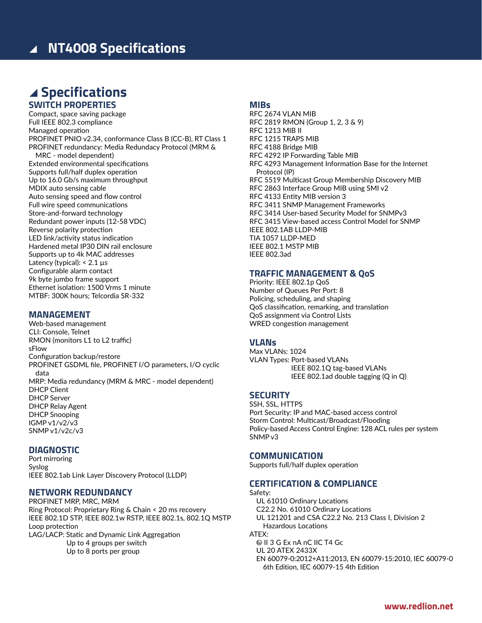# \ **Specifications SWITCH PROPERTIES**

Compact, space saving package Full IEEE 802.3 compliance Managed operation PROFINET PNIO v2.34, conformance Class B (CC-B), RT Class 1 PROFINET redundancy: Media Redundacy Protocol (MRM & MRC - model dependent) Extended environmental specifications Supports full/half duplex operation Up to 16.0 Gb/s maximum throughput MDIX auto sensing cable Auto sensing speed and flow control Full wire speed communications Store-and-forward technology Redundant power inputs (12-58 VDC) Reverse polarity protection LED link/activity status indication Hardened metal IP30 DIN rail enclosure Supports up to 4k MAC addresses Latency (typical): < 2.1 µs Configurable alarm contact 9k byte jumbo frame support Ethernet isolation: 1500 Vrms 1 minute MTBF: 300K hours; Telcordia SR-332

## **MANAGEMENT**

Web-based management CLI: Console, Telnet RMON (monitors L1 to L2 traffic) sFlow Configuration backup/restore PROFINET GSDML file, PROFINET I/O parameters, I/O cyclic data MRP: Media redundancy (MRM & MRC - model dependent) DHCP Client DHCP Server DHCP Relay Agent DHCP Snooping IGMP v1/v2/v3 SNMP v1/v2c/v3

### **DIAGNOSTIC**

Port mirroring Syslog IEEE 802.1ab Link Layer Discovery Protocol (LLDP)

#### **NETWORK REDUNDANCY**

PROFINET MRP, MRC, MRM Ring Protocol: Proprietary Ring & Chain < 20 ms recovery IEEE 802.1D STP, IEEE 802.1w RSTP, IEEE 802.1s, 802.1Q MSTP Loop protection LAG/LACP: Static and Dynamic Link Aggregation

Up to 4 groups per switch Up to 8 ports per group

#### **MIBs**

RFC 2674 VLAN MIB RFC 2819 RMON (Group 1, 2, 3 & 9) RFC 1213 MIB II RFC 1215 TRAPS MIB RFC 4188 Bridge MIB RFC 4292 IP Forwarding Table MIB RFC 4293 Management Information Base for the Internet Protocol (IP) RFC 5519 Multicast Group Membership Discovery MIB RFC 2863 Interface Group MIB using SMI v2 RFC 4133 Entity MIB version 3 RFC 3411 SNMP Management Frameworks RFC 3414 User-based Security Model for SNMPv3 RFC 3415 View-based access Control Model for SNMP IEEE 802.1AB LLDP-MIB TIA 1057 LLDP-MED IEEE 802.1 MSTP MIB IEEE 802.3ad

### **TRAFFIC MANAGEMENT & QoS**

Priority: IEEE 802.1p QoS Number of Queues Per Port: 8 Policing, scheduling, and shaping QoS classification, remarking, and translation QoS assignment via Control Lists WRED congestion management

#### **VLANs**

Max VLANs: 1024 VLAN Types: Port-based VLANs IEEE 802.1Q tag-based VLANs IEEE 802.1ad double tagging (Q in Q)

### **SECURITY**

SSH, SSL, HTTPS Port Security: IP and MAC-based access control Storm Control: Multicast/Broadcast/Flooding Policy-based Access Control Engine: 128 ACL rules per system SNMP v3

### **COMMUNICATION**

Supports full/half duplex operation

#### **CERTIFICATION & COMPLIANCE**

Safety: UL 61010 Ordinary Locations C22.2 No. 61010 Ordinary Locations UL 121201 and CSA C22.2 No. 213 Class I, Division 2 Hazardous Locations ATEX: II 3 G Ex nA nC IIC T4 Gc UL 20 ATEX 2433X EN 60079-0:2012+A11:2013, EN 60079-15:2010, IEC 60079-0 6th Edition, IEC 60079-15 4th Edition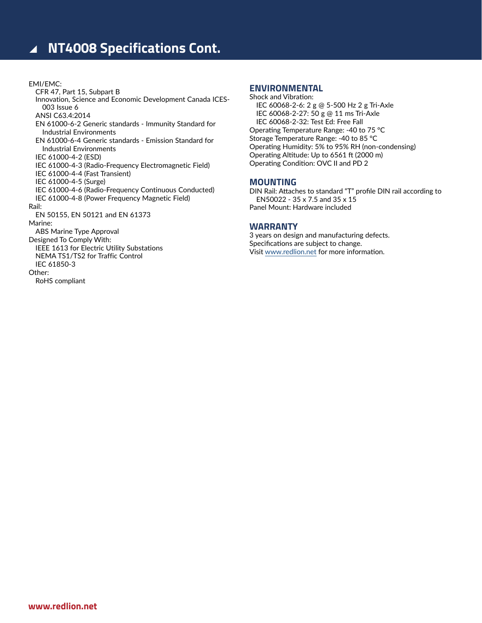# ▲ NT4008 Specifications Cont.

#### EMI/EMC: CFR 47, Part 15, Subpart B Innovation, Science and Economic Development Canada ICES-003 Issue 6 ANSI C63.4:2014 EN 61000-6-2 Generic standards - Immunity Standard for Industrial Environments EN 61000-6-4 Generic standards - Emission Standard for Industrial Environments IEC 61000-4-2 (ESD) IEC 61000-4-3 (Radio-Frequency Electromagnetic Field) IEC 61000-4-4 (Fast Transient) IEC 61000-4-5 (Surge) IEC 61000-4-6 (Radio-Frequency Continuous Conducted) IEC 61000-4-8 (Power Frequency Magnetic Field) Rail: EN 50155, EN 50121 and EN 61373 Marine: ABS Marine Type Approval Designed To Comply With: IEEE 1613 for Electric Utility Substations NEMA TS1/TS2 for Traffic Control IEC 61850-3 Other: RoHS compliant

#### **ENVIRONMENTAL**

Shock and Vibration: IEC 60068-2-6: 2 g @ 5-500 Hz 2 g Tri-Axle IEC 60068-2-27: 50 g @ 11 ms Tri-Axle IEC 60068-2-32: Test Ed: Free Fall Operating Temperature Range: -40 to 75 °C Storage Temperature Range: -40 to 85 °C Operating Humidity: 5% to 95% RH (non-condensing) Operating Altitude: Up to 6561 ft (2000 m) Operating Condition: OVC II and PD 2

#### **MOUNTING**

DIN Rail: Attaches to standard "T" profile DIN rail according to EN50022 - 35 x 7.5 and 35 x 15 Panel Mount: Hardware included

### **WARRANTY**

3 years on design and manufacturing defects. Specifications are subject to change. Visit [www.redlion.net](http://www.redlion.net) for more information.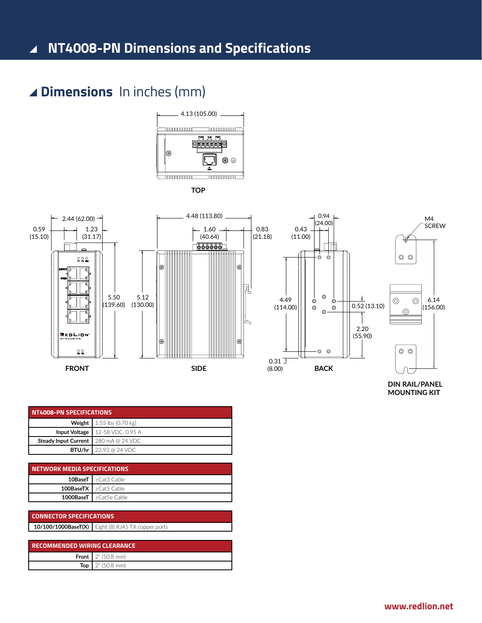# \ **Dimensions** In inches (mm)



**TOP**



**DIN RAIL/PANEL MOUNTING KIT**

| NT4008-PN SPECIFICATIONS                      |                                            |  |
|-----------------------------------------------|--------------------------------------------|--|
| <b>Weight</b>   $1.55$ lbs (0.70 kg)          |                                            |  |
|                                               | <b>Input Voltage</b>   $12-58$ VDC, 0.95 A |  |
| <b>Steady Input Current</b>   280 mA @ 24 VDC |                                            |  |
|                                               | <b>BTU/hr</b> 22.93 @ 24 VDC               |  |

| NETWORK MEDIA SPECIFICATIONS |                                                        |  |
|------------------------------|--------------------------------------------------------|--|
|                              | <b>10BaseT</b> $\blacktriangleright$ $\geq$ Cat3 Cable |  |
|                              | <b>100BaseTX   <math>\geq</math>Cat5 Cable</b>         |  |
|                              | <b>1000BaseT</b> l≥Cat5e Cable                         |  |

| <b>CONNECTOR SPECIFICATIONS</b> |                                                    |  |  |
|---------------------------------|----------------------------------------------------|--|--|
|                                 | 10/100/1000BaseT(X) Eight (8) RJ45 TX copper ports |  |  |

| <b>RECOMMENDED WIRING CLEARANCE</b> |                                      |  |  |
|-------------------------------------|--------------------------------------|--|--|
|                                     | <b>Front 1</b> $2^{\circ}$ (50.8 mm) |  |  |
| Top                                 | $2^{\circ}$ (50.8 mm)                |  |  |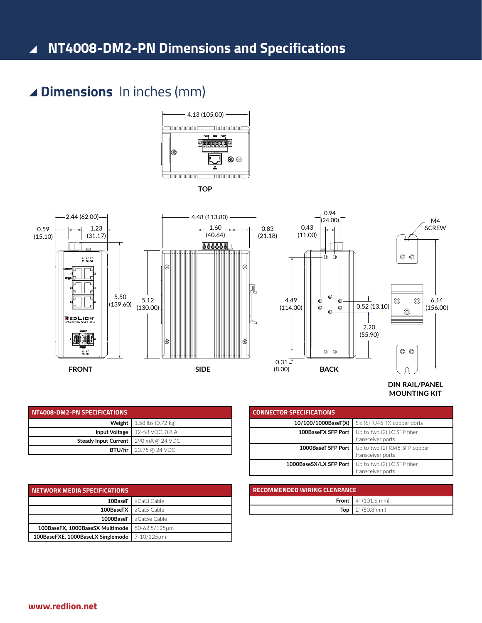# \ **NT4008-DM2-PN Dimensions and Specifications**

# \ **Dimensions** In inches (mm)



**TOP**



| DIN RAIL/PANEL      |
|---------------------|
| <b>MOUNTING KIT</b> |

| NT4008-DM2-PN SPECIFICATIONS                  |                                              |  |  |
|-----------------------------------------------|----------------------------------------------|--|--|
|                                               | <b>Weight</b>   1.58 lbs $(0.72 \text{ kg})$ |  |  |
|                                               | <b>Input Voltage</b>   $12-58$ VDC, 0.8 A    |  |  |
| <b>Steady Input Current</b>   290 mA @ 24 VDC |                                              |  |  |
|                                               | <b>BTU/hr</b>   23.75 @ 24 VDC               |  |  |

| <b>NETWORK MEDIA SPECIFICATIONS</b>            |                                                                       |
|------------------------------------------------|-----------------------------------------------------------------------|
|                                                | <b>10BaseT</b> $\blacktriangleright$ $\blacktriangleright$ Cat3 Cable |
|                                                | <b>100BaseTX</b> $\blacktriangleright$ 2Cat5 Cable                    |
|                                                | <b>1000BaseT L</b> $\geq$ Cat5e Cable                                 |
| 100BaseFX, 1000BaseSX Multimode                | l 50-62.5/125um                                                       |
| 100BaseFXE, 1000BaseLX Singlemode   7-10/125um |                                                                       |

|                                     | transceiver ports                   |  |
|-------------------------------------|-------------------------------------|--|
|                                     |                                     |  |
| <b>RECOMMENDED WIRING CLEARANCE</b> |                                     |  |
|                                     | <b>Front</b> $4^{\circ}$ (101.6 mm) |  |
| Top                                 | 2" (50.8 mm)                        |  |

1000BaseSX/LX SFP Port Up to two (2) LC SFP fiber

**10/100/1000BaseT(X)** Six (6) RJ45 TX copper ports **100BaseFX SFP Port** Up to two (2) LC SFP fiber

transceiver ports **1000BaseT SFP Port** Up to two (2) RJ45 SFP copper transceiver ports

**CONNECTOR SPECIFICATIONS**

**www.redlion.net**